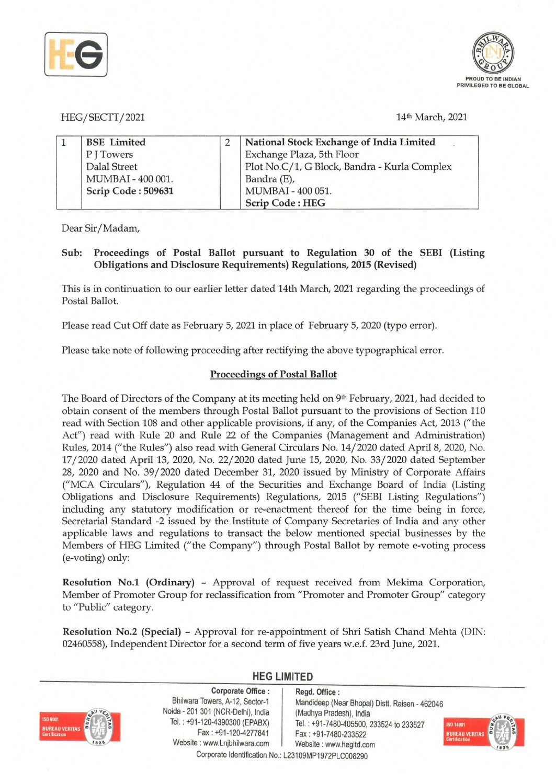



## HEG/SECTT/2021 14th March, 2021

| <b>BSE</b> Limited  | National Stock Exchange of India Limited     |
|---------------------|----------------------------------------------|
| PITowers            | Exchange Plaza, 5th Floor                    |
| <b>Dalal Street</b> | Plot No.C/1, G Block, Bandra - Kurla Complex |
| MUMBAI - 400 001.   | Bandra (E),                                  |
| Scrip Code: 509631  | MUMBAI - 400 051.                            |
|                     | <b>Scrip Code: HEG</b>                       |

Dear Sir/Madam,

# Sub: Proceedings of Postal Ballot pursuant to Regulation 30 of the SEBI (Listing Obligations and Disclosure Requirements) Regulations, 2015 (Revised)

This is in continuation to our earlier letter dated 14th March, 2021 regarding the proceedings of Postal Ballot.

Please read Cut Off date as February 5,2021 in place of February 5,2020 (typo error).

Please take note of following proceeding after rectifying the above typographical error.

## Proceedings of Postal Ballot

The Board of Directors of the Company at its meeting held on  $9<sup>th</sup>$  February, 2021, had decided to obtain consent of the members through Postal Ballot pursuant to the provisions of Section 110 read with Section lOS and other applicable provisions, if any, of the Companies Act, 2013 ("the Act") read with Rule 20 and Rule 22 of the Companies (Management and Administration) Rules, 2014 ("the Rules") also read with General Circulars No. 14/2020 dated April 8, 2020, No. 17/2020 dated April 13, 2020, No. 22/2020 dated June 15, 2020, No. 33/2020 dated September 2S, 2020 and No. 39/2020 dated December 31, 2020 issued by Ministry of Corporate Affairs ("MCA Circulars"), Regulation 44 of the Securities and Exchange Board of India (Listing Obligations and Disclosure Requirements) Regulations, 2015 ("SEBI Listing Regulations") including any statutory modification or re-enactment thereof for the time being in force, Secretarial Standard -2 issued by the Institute of Company Secretaries of India and any other applicable laws and regulations to transact the below mentioned special businesses by the Members of HEG Limited ("the Company") through Postal Ballot by remote e-voting process (e-voting) only:

Resolution No.1 (Ordinary) - Approval of request received from Mekima Corporation, Member of Promoter Group for reclassification from "Promoter and Promoter Group" category to "Public" category.

Resolution No.2 (Special) - Approval for re-appointment of Shri Satish Chand Mehta (DIN: 0246055S), Independent Director for a second term of five years w.e.f. 23rd June, 2021.



## **HEG LIMITED**